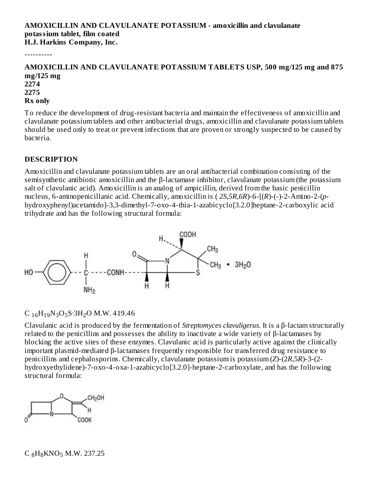#### **AMOXICILLIN AND CLAVULANATE POTASSIUM - amoxicillin and clavulanate potassium tablet, film coated H.J. Harkins Company, Inc.**

----------

#### **AMOXICILLIN AND CLAVULANATE POTASSIUM TABLETS USP, 500 mg/125 mg and 875 mg/125 mg 2274 2275 Rx only**

To reduce the development of drug-resistant bacteria and maintain the effectiveness of amoxicillin and clavulanate potassium tablets and other antibacterial drugs, amoxicillin and clavulanate potassium tablets should be used only to treat or prevent infections that are proven or strongly suspected to be caused by bacteria.

#### **DESCRIPTION**

Amoxicillin and clavulanate potassium tablets are an oral antibacterial combination consisting of the semisynthetic antibiotic amoxicillin and the β-lactamase inhibitor, clavulanate potassium (the potassium salt of clavulanic acid). Amoxicillin is an analog of ampicillin, derived from the basic penicillin nucleus, 6-aminopenicillanic acid. Chemically, amoxicillin is ( *2S*,*5R*,*6R*)-6-[(*R*)-(-)-2-Amino-2-(*p*hydroxyphenyl)acetamido]-3,3-dimethyl-7-oxo-4-thia-1-azabicyclo[3.2.0]heptane-2-carboxylic acid trihydrate and has the following structural formula:



# $C_{16}H_{19}N_3O_5S.3H_2O M.W. 419.46$

Clavulanic acid is produced by the fermentation of *Streptomyces clavuligerus.* It is a β-lactam structurally related to the penicillins and possesses the ability to inactivate a wide variety of β-lactamases by blocking the active sites of these enzymes. Clavulanic acid is particularly active against the clinically important plasmid-mediated β-lactamases frequently responsible for transferred drug resistance to penicillins and cephalosporins. Chemically, clavulanate potassium is potassium (*Z*)-(2*R*,5*R*)-3-(2 hydroxyethylidene)-7-oxo-4-oxa-1-azabicyclo[3.2.0]-heptane-2-carboxylate, and has the following structural formula:

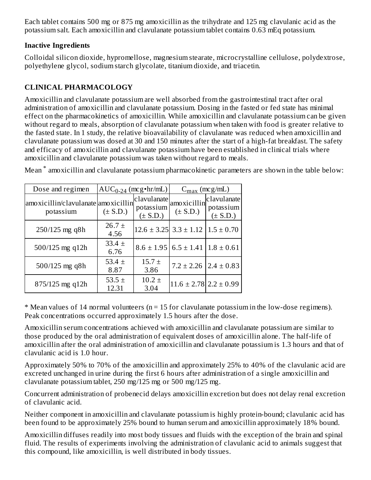Each tablet contains 500 mg or 875 mg amoxicillin as the trihydrate and 125 mg clavulanic acid as the potassium salt. Each amoxicillin and clavulanate potassium tablet contains 0.63 mEq potassium.

### **Inactive Ingredients**

Colloidal silicon dioxide, hypromellose, magnesium stearate, microcrystalline cellulose, polydextrose, polyethylene glycol, sodium starch glycolate, titanium dioxide, and triacetin.

# **CLINICAL PHARMACOLOGY**

Amoxicillin and clavulanate potassium are well absorbed from the gastrointestinal tract after oral administration of amoxicillin and clavulanate potassium. Dosing in the fasted or fed state has minimal effect on the pharmacokinetics of amoxicillin. While amoxicillin and clavulanate potassium can be given without regard to meals, absorption of clavulanate potassium when taken with food is greater relative to the fasted state. In 1 study, the relative bioavailability of clavulanate was reduced when amoxicillin and clavulanate potassium was dosed at 30 and 150 minutes after the start of a high-fat breakfast. The safety and efficacy of amoxicillin and clavulanate potassium have been established in clinical trials where amoxicillin and clavulanate potassium was taken without regard to meals.

Mean  $^*$  amoxicillin and clavulanate potassium pharmacokinetic parameters are shown in the table below:

| Dose and regimen                                 |                     | $AUC_{0-24}$ (mcg•hr/mL)                 | $C_{\text{max}}$ (mcg/mL)                    |                                          |
|--------------------------------------------------|---------------------|------------------------------------------|----------------------------------------------|------------------------------------------|
| amoxicillin/clavulanate amoxicillin<br>potassium | $(\pm S.D.)$        | clavulanate<br>potassium<br>$(\pm S.D.)$ | amoxicillin<br>$(\pm S.D.)$                  | clavulanate<br>potassium<br>$(\pm S.D.)$ |
| 250/125 mg q8h                                   | $26.7 \pm$<br>4.56  |                                          | $12.6 \pm 3.25$ 3.3 $\pm$ 1.12               | $1.5 \pm 0.70$                           |
| $500/125$ mg q12h                                | $33.4 \pm$<br>6.76  |                                          | $8.6 \pm 1.95$ 6.5 $\pm$ 1.41 1.8 $\pm$ 0.61 |                                          |
| $500/125$ mg q8h                                 | 53.4 $\pm$<br>8.87  | $15.7 \pm$<br>3.86                       |                                              | $7.2 \pm 2.26$   $2.4 \pm 0.83$          |
| $875/125$ mg q12h                                | 53.5 $\pm$<br>12.31 | $10.2 \pm$<br>3.04                       | $11.6 \pm 2.78$ 2.2 $\pm$ 0.99               |                                          |

 $*$  Mean values of 14 normal volunteers ( $n = 15$  for clavulanate potassium in the low-dose regimens). Peak concentrations occurred approximately 1.5 hours after the dose.

Amoxicillin serum concentrations achieved with amoxicillin and clavulanate potassium are similar to those produced by the oral administration of equivalent doses of amoxicillin alone. The half-life of amoxicillin after the oral administration of amoxicillin and clavulanate potassium is 1.3 hours and that of clavulanic acid is 1.0 hour.

Approximately 50% to 70% of the amoxicillin and approximately 25% to 40% of the clavulanic acid are excreted unchanged in urine during the first 6 hours after administration of a single amoxicillin and clavulanate potassium tablet, 250 mg/125 mg or 500 mg/125 mg.

Concurrent administration of probenecid delays amoxicillin excretion but does not delay renal excretion of clavulanic acid.

Neither component in amoxicillin and clavulanate potassium is highly protein-bound; clavulanic acid has been found to be approximately 25% bound to human serum and amoxicillin approximately 18% bound.

Amoxicillin diffuses readily into most body tissues and fluids with the exception of the brain and spinal fluid. The results of experiments involving the administration of clavulanic acid to animals suggest that this compound, like amoxicillin, is well distributed in body tissues.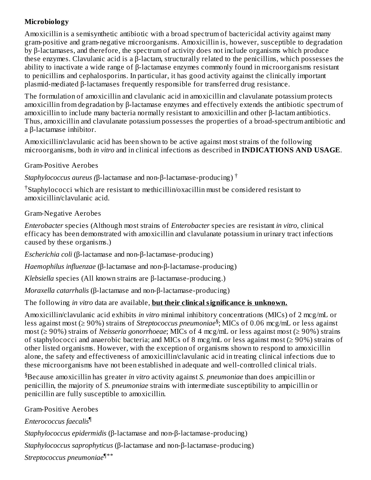# **Microbiology**

Amoxicillin is a semisynthetic antibiotic with a broad spectrum of bactericidal activity against many gram-positive and gram-negative microorganisms. Amoxicillin is, however, susceptible to degradation by β-lactamases, and therefore, the spectrum of activity does not include organisms which produce these enzymes. Clavulanic acid is a β-lactam, structurally related to the penicillins, which possesses the ability to inactivate a wide range of β-lactamase enzymes commonly found in microorganisms resistant to penicillins and cephalosporins. In particular, it has good activity against the clinically important plasmid-mediated β-lactamases frequently responsible for transferred drug resistance.

The formulation of amoxicillin and clavulanic acid in amoxicillin and clavulanate potassium protects amoxicillin from degradation by β-lactamase enzymes and effectively extends the antibiotic spectrum of amoxicillin to include many bacteria normally resistant to amoxicillin and other β-lactam antibiotics. Thus, amoxicillin and clavulanate potassium possesses the properties of a broad-spectrum antibiotic and a β-lactamase inhibitor.

Amoxicillin/clavulanic acid has been shown to be active against most strains of the following microorganisms, both *in vitro* and in clinical infections as described in **INDICATIONS AND USAGE**.

Gram-Positive Aerobes

*Staphylococcus aureus (*β-lactamase and non-β-lactamase-producing) †

 $\dagger$ Staphylococci which are resistant to methicillin/oxacillin must be considered resistant to amoxicillin/clavulanic acid.

Gram-Negative Aerobes

*Enterobacter* species (Although most strains of *Enterobacter* species are resistant *in vitro*, clinical efficacy has been demonstrated with amoxicillin and clavulanate potassium in urinary tract infections caused by these organisms.)

*Escherichia coli* (β-lactamase and non-β-lactamase-producing)

*Haemophilus influenzae* (β-lactamase and non-β-lactamase-producing)

*Klebsiella* species (All known strains are β-lactamase-producing.)

*Moraxella catarrhalis* (β-lactamase and non-β-lactamase-producing)

The following *in vitro* data are available, **but their clinical significance is unknown.**

Amoxicillin/clavulanic acid exhibits *in vitro* minimal inhibitory concentrations (MICs) of 2 mcg/mL or less against most (≥ 90%) strains of *Streptococcus pneumoniae* ; MICs of 0.06 mcg/mL or less against § most (≥ 90%) strains of *Neisseria gonorrhoeae*; MICs of 4 mcg/mL or less against most (≥ 90%) strains of staphylococci and anaerobic bacteria; and MICs of 8 mcg/mL or less against most ( $\geq$  90%) strains of other listed organisms. However, with the exception of organisms shown to respond to amoxicillin alone, the safety and effectiveness of amoxicillin/clavulanic acid in treating clinical infections due to these microorganisms have not been established in adequate and well-controlled clinical trials.

Because amoxicillin has greater *in vitro* activity against *S. pneumoniae* than does ampicillin or § penicillin, the majority of *S. pneumoniae* strains with intermediate susceptibility to ampicillin or penicillin are fully susceptible to amoxicillin.

Gram-Positive Aerobes *Enterococcus faecalis* ¶ *Staphylococcus epidermidis* (β-lactamase and non-β-lactamase-producing) *Staphylococcus saprophyticus* (β-lactamase and non-β-lactamase-producing) *Streptococcus pneumoniae* ¶\*\*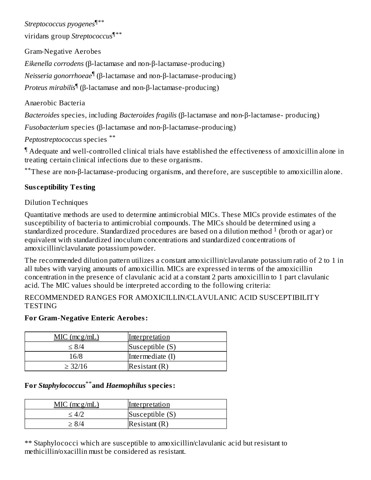*Streptococcus pyogenes* ¶\*\*

viridans group *Streptococcus* ¶\*\*

Gram-Negative Aerobes

*Eikenella corrodens* (β-lactamase and non-β-lactamase-producing)

*Neisseria gonorrhoeae*¶ (β-lactamase and non-β-lactamase-producing)

*Proteus mirabilis* (β-lactamase and non-β-lactamase-producing) ¶

Anaerobic Bacteria

*Bacteroides* species, including *Bacteroides fragilis* (β-lactamase and non-β-lactamase- producing)

*Fusobacterium* species (β-lactamase and non-β-lactamase-producing)

*Peptostreptococcus* species \*\*

Adequate and well-controlled clinical trials have established the effectiveness of amoxicillin alone in ¶ treating certain clinical infections due to these organisms.

\*\*These are non-β-lactamase-producing organisms, and therefore, are susceptible to amoxicillin alone.

# **Sus ceptibility Testing**

Dilution Techniques

Quantitative methods are used to determine antimicrobial MICs. These MICs provide estimates of the susceptibility of bacteria to antimicrobial compounds. The MICs should be determined using a standardized procedure. Standardized procedures are based on a dilution method  $^1$  (broth or agar) or equivalent with standardized inoculum concentrations and standardized concentrations of amoxicillin/clavulanate potassium powder.

The recommended dilution pattern utilizes a constant amoxicillin/clavulanate potassium ratio of 2 to 1 in all tubes with varying amounts of amoxicillin. MICs are expressed in terms of the amoxicillin concentration in the presence of clavulanic acid at a constant 2 parts amoxicillin to 1 part clavulanic acid. The MIC values should be interpreted according to the following criteria:

RECOMMENDED RANGES FOR AMOXICILLIN/CLAVULANIC ACID SUSCEPTIBILITY **TESTING** 

# **For Gram-Negative Enteric Aerobes:**

| $MIC$ (mcg/mL) | <u>Interpretation</u> |
|----------------|-----------------------|
| < 8/4          | Susceptible (S)       |
| 16/8           | Intermediate (I)      |
| > 32/16        | Resistant(R)          |

# **For** *Staphylococcus* **and** *Haemophilus* **species:** \*\*

| $MIC$ (mcg/mL) | <u>Interpretation</u> |
|----------------|-----------------------|
|                | Susceptible (S)       |
| -874           | Resistant(R)          |

\*\* Staphylococci which are susceptible to amoxicillin/clavulanic acid but resistant to methicillin/oxacillin must be considered as resistant.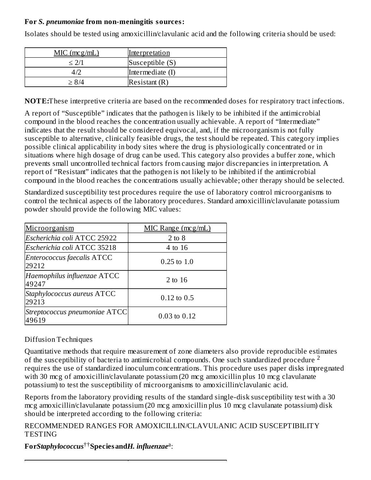#### **For** *S. pneumoniae* **from non-meningitis sources:**

Isolates should be tested using amoxicillin/clavulanic acid and the following criteria should be used:

| $MIC$ (mcg/mL) | <u>Interpretation</u> |
|----------------|-----------------------|
| $<$ 2/1        | Susceptible (S)       |
|                | Intermediate (I)      |
| > 8/4          | Resistant(R)          |

**NOTE:**These interpretive criteria are based on the recommended doses for respiratory tract infections.

A report of "Susceptible" indicates that the pathogen is likely to be inhibited if the antimicrobial compound in the blood reaches the concentration usually achievable. A report of "Intermediate" indicates that the result should be considered equivocal, and, if the microorganism is not fully susceptible to alternative, clinically feasible drugs, the test should be repeated. This category implies possible clinical applicability in body sites where the drug is physiologically concentrated or in situations where high dosage of drug can be used. This category also provides a buffer zone, which prevents small uncontrolled technical factors from causing major discrepancies in interpretation. A report of "Resistant" indicates that the pathogen is not likely to be inhibited if the antimicrobial compound in the blood reaches the concentrations usually achievable; other therapy should be selected.

Standardized susceptibility test procedures require the use of laboratory control microorganisms to control the technical aspects of the laboratory procedures. Standard amoxicillin/clavulanate potassium powder should provide the following MIC values:

| Microorganism                          | $MIC$ Range (mcg/mL) |
|----------------------------------------|----------------------|
| Escherichia coli ATCC 25922            | $2$ to $8$           |
| Escherichia coli ATCC 35218            | 4 to 16              |
| Enterococcus faecalis ATCC<br>29212    | $0.25$ to $1.0$      |
| Haemophilus influenzae ATCC<br>49247   | 2 to 16              |
| Staphylococcus aureus ATCC<br>29213    | $0.12$ to $0.5$      |
| Streptococcus pneumoniae ATCC<br>49619 | $0.03$ to $0.12$     |

#### Diffusion Techniques

Quantitative methods that require measurement of zone diameters also provide reproducible estimates of the susceptibility of bacteria to antimicrobial compounds. One such standardized procedure <sup>2</sup> requires the use of standardized inoculum concentrations. This procedure uses paper disks impregnated with 30 mcg of amoxicillin/clavulanate potassium (20 mcg amoxicillin plus 10 mcg clavulanate potassium) to test the susceptibility of microorganisms to amoxicillin/clavulanic acid.

Reports from the laboratory providing results of the standard single-disk susceptibility test with a 30 mcg amoxicillin/clavulanate potassium (20 mcg amoxicillin plus 10 mcg clavulanate potassium) disk should be interpreted according to the following criteria:

RECOMMENDED RANGES FOR AMOXICILLIN/CLAVULANIC ACID SUSCEPTIBILITY **TESTING** 

 $\boldsymbol{F}$ or $\boldsymbol{Staphy}$ lococcus $^{\dagger\dagger}\boldsymbol{Sp}$ ecies and $\boldsymbol{H}$ . *influenzae*<sup>a</sup>: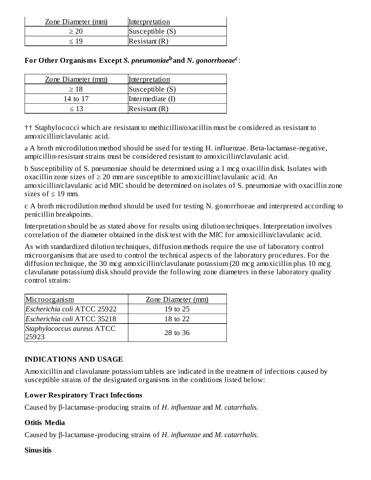| Zone Diameter (mm) | Interpretation  |
|--------------------|-----------------|
|                    | Susceptible (S) |
| < 1ч               | Resistant(R)    |

|  |  |  |  |  |  |  |  | For Other Organisms Except S. pneumoniae <sup>b</sup> and N. gonorrhoeae <sup>c</sup> : |
|--|--|--|--|--|--|--|--|-----------------------------------------------------------------------------------------|
|--|--|--|--|--|--|--|--|-----------------------------------------------------------------------------------------|

| Zone Diameter (mm) | Interpretation   |
|--------------------|------------------|
| >18                | Susceptible (S)  |
| 14 to 17           | Intermediate (I) |
| < 13               | Resistant(R)     |

†† Staphylococci which are resistant to methicillin/oxacillin must be considered as resistant to amoxicillin/clavulanic acid.

a A broth microdilution method should be used for testing H. influenzae. Beta-lactamase-negative, ampicillin-resistant strains must be considered resistant to amoxicillin/clavulanic acid.

b Susceptibility of S. pneumoniae should be determined using a 1 mcg oxacillin disk. Isolates with oxacillin zone sizes of  $\geq 20$  mm are susceptible to amoxicillin/clavulanic acid. An amoxicillin/clavulanic acid MIC should be determined on isolates of S. pneumoniae with oxacillin zone sizes of  $\leq 19$  mm.

c A broth microdilution method should be used for testing N. gonorrhoeae and interpreted according to penicillin breakpoints.

Interpretation should be as stated above for results using dilution techniques. Interpretation involves correlation of the diameter obtained in the disk test with the MIC for amoxicillin/clavulanic acid.

As with standardized dilution techniques, diffusion methods require the use of laboratory control microorganisms that are used to control the technical aspects of the laboratory procedures. For the diffusion technique, the 30 mcg amoxicillin/clavulanate potassium (20 mcg amoxicillin plus 10 mcg clavulanate potassium) disk should provide the following zone diameters in these laboratory quality control strains:

| Microorganism                       | Zone Diameter (mm) |
|-------------------------------------|--------------------|
| Escherichia coli ATCC 25922         | 19 to 25           |
| Escherichia coli ATCC 35218         | 18 to 22           |
| Staphylococcus aureus ATCC<br>25923 | 28 to 36           |

#### **INDICATIONS AND USAGE**

Amoxicillin and clavulanate potassium tablets are indicated in the treatment of infections caused by susceptible strains of the designated organisms in the conditions listed below:

# **Lower Respiratory Tract Infections**

Caused by β-lactamase-producing strains of *H. influenzae* and *M. catarrhalis*.

#### **Otitis Media**

Caused by β-lactamase-producing strains of *H. influenzae* and *M. catarrhalis*.

#### **Sinusitis**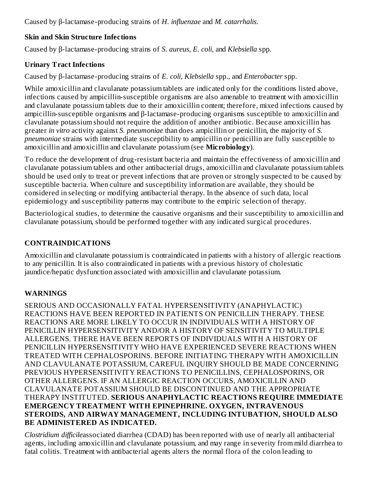Caused by β-lactamase-producing strains of *H. influenzae* and *M. catarrhalis*.

# **Skin and Skin Structure Infections**

Caused by β-lactamase-producing strains of *S. aureus*, *E. coli*, and *Klebsiella* spp.

# **Urinary Tract Infections**

Caused by β-lactamase-producing strains of *E. coli*, *Klebsiella* spp., and *Enterobacter* spp.

While amoxicillin and clavulanate potassium tablets are indicated only for the conditions listed above, infections caused by ampicillin-susceptible organisms are also amenable to treatment with amoxicillin and clavulanate potassium tablets due to their amoxicillin content; therefore, mixed infections caused by ampicillin-susceptible organisms and β-lactamase-producing organisms susceptible to amoxicillin and clavulanate potassium should not require the addition of another antibiotic. Because amoxicillin has greater *in vitro* activity against *S. pneumoniae* than does ampicillin or penicillin, the majority of *S. pneumoniae* strains with intermediate susceptibility to ampicillin or penicillin are fully susceptible to amoxicillin and amoxicillin and clavulanate potassium (see **Microbiology**).

To reduce the development of drug-resistant bacteria and maintain the effectiveness of amoxicillin and clavulanate potassium tablets and other antibacterial drugs, amoxicillin and clavulanate potassium tablets should be used only to treat or prevent infections that are proven or strongly suspected to be caused by susceptible bacteria. When culture and susceptibility information are available, they should be considered in selecting or modifying antibacterial therapy. In the absence of such data, local epidemiology and susceptibility patterns may contribute to the empiric selection of therapy.

Bacteriological studies, to determine the causative organisms and their susceptibility to amoxicillin and clavulanate potassium, should be performed together with any indicated surgical procedures.

# **CONTRAINDICATIONS**

Amoxicillin and clavulanate potassium is contraindicated in patients with a history of allergic reactions to any penicillin. It is also contraindicated in patients with a previous history of cholestatic jaundice/hepatic dysfunction associated with amoxicillin and clavulanate potassium.

# **WARNINGS**

SERIOUS AND OCCASIONALLY FATAL HYPERSENSITIVITY (ANAPHYLACTIC) REACTIONS HAVE BEEN REPORTED IN PATIENTS ON PENICILLIN THERAPY. THESE REACTIONS ARE MORE LIKELY TO OCCUR IN INDIVIDUALS WITH A HISTORY OF PENICILLIN HYPERSENSITIVITY AND/OR A HISTORY OF SENSITIVITY TO MULTIPLE ALLERGENS. THERE HAVE BEEN REPORTS OF INDIVIDUALS WITH A HISTORY OF PENICILLIN HYPERSENSITIVITY WHO HAVE EXPERIENCED SEVERE REACTIONS WHEN TREATED WITH CEPHALOSPORINS. BEFORE INITIATING THERAPY WITH AMOXICILLIN AND CLAVULANATE POTASSIUM, CAREFUL INQUIRY SHOULD BE MADE CONCERNING PREVIOUS HYPERSENSITIVITY REACTIONS TO PENICILLINS, CEPHALOSPORINS, OR OTHER ALLERGENS. IF AN ALLERGIC REACTION OCCURS, AMOXICILLIN AND CLAVULANATE POTASSIUM SHOULD BE DISCONTINUED AND THE APPROPRIATE THERAPY INSTITUTED. **SERIOUS ANAPHYLACTIC REACTIONS REQUIRE IMMEDIATE EMERGENCY TREATMENT WITH EPINEPHRINE. OXYGEN, INTRAVENOUS STEROIDS, AND AIRWAY MANAGEMENT, INCLUDING INTUBATION, SHOULD ALSO BE ADMINISTERED AS INDICATED.**

*Clostridium difficile*associated diarrhea (CDAD) has been reported with use of nearly all antibacterial agents, including amoxicillin and clavulanate potassium, and may range in severity from mild diarrhea to fatal colitis. Treatment with antibacterial agents alters the normal flora of the colon leading to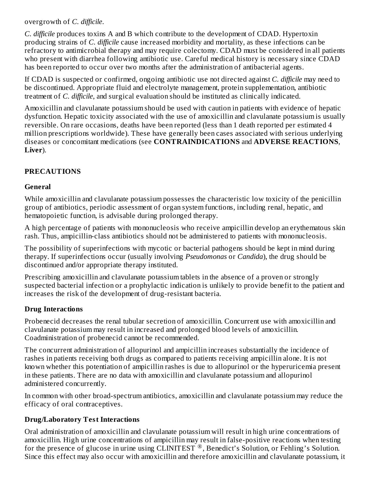overgrowth of *C. difficile*.

*C. difficile* produces toxins A and B which contribute to the development of CDAD. Hypertoxin producing strains of *C. difficile* cause increased morbidity and mortality, as these infections can be refractory to antimicrobial therapy and may require colectomy. CDAD must be considered in all patients who present with diarrhea following antibiotic use. Careful medical history is necessary since CDAD has been reported to occur over two months after the administration of antibacterial agents.

If CDAD is suspected or confirmed, ongoing antibiotic use not directed against *C. difficile* may need to be discontinued. Appropriate fluid and electrolyte management, protein supplementation, antibiotic treatment of *C. difficile*, and surgical evaluation should be instituted as clinically indicated.

Amoxicillin and clavulanate potassium should be used with caution in patients with evidence of hepatic dysfunction. Hepatic toxicity associated with the use of amoxicillin and clavulanate potassium is usually reversible. On rare occasions, deaths have been reported (less than 1 death reported per estimated 4 million prescriptions worldwide). These have generally been cases associated with serious underlying diseases or concomitant medications (see **CONTRAINDICATIONS** and **ADVERSE REACTIONS**, **Liver**).

# **PRECAUTIONS**

#### **General**

While amoxicillin and clavulanate potassium possesses the characteristic low toxicity of the penicillin group of antibiotics, periodic assessment of organ system functions, including renal, hepatic, and hematopoietic function, is advisable during prolonged therapy.

A high percentage of patients with mononucleosis who receive ampicillin develop an erythematous skin rash. Thus, ampicillin-class antibiotics should not be administered to patients with mononucleosis.

The possibility of superinfections with mycotic or bacterial pathogens should be kept in mind during therapy. If superinfections occur (usually involving *Pseudomonas* or *Candida*), the drug should be discontinued and/or appropriate therapy instituted.

Prescribing amoxicillin and clavulanate potassium tablets in the absence of a proven or strongly suspected bacterial infection or a prophylactic indication is unlikely to provide benefit to the patient and increases the risk of the development of drug-resistant bacteria.

#### **Drug Interactions**

Probenecid decreases the renal tubular secretion of amoxicillin. Concurrent use with amoxicillin and clavulanate potassium may result in increased and prolonged blood levels of amoxicillin. Coadministration of probenecid cannot be recommended.

The concurrent administration of allopurinol and ampicillin increases substantially the incidence of rashes in patients receiving both drugs as compared to patients receiving ampicillin alone. It is not known whether this potentiation of ampicillin rashes is due to allopurinol or the hyperuricemia present in these patients. There are no data with amoxicillin and clavulanate potassium and allopurinol administered concurrently.

In common with other broad-spectrum antibiotics, amoxicillin and clavulanate potassium may reduce the efficacy of oral contraceptives.

#### **Drug/Laboratory Test Interactions**

Oral administration of amoxicillin and clavulanate potassium will result in high urine concentrations of amoxicillin. High urine concentrations of ampicillin may result in false-positive reactions when testing for the presence of glucose in urine using CLINITEST<sup>®</sup>, Benedict's Solution, or Fehling's Solution. Since this effect may also occur with amoxicillin and therefore amoxicillin and clavulanate potassium, it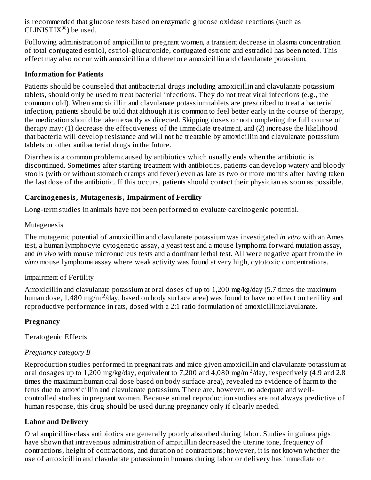is recommended that glucose tests based on enzymatic glucose oxidase reactions (such as CLINISTIX®) be used.

Following administration of ampicillin to pregnant women, a transient decrease in plasma concentration of total conjugated estriol, estriol-glucuronide, conjugated estrone and estradiol has been noted. This effect may also occur with amoxicillin and therefore amoxicillin and clavulanate potassium.

#### **Information for Patients**

Patients should be counseled that antibacterial drugs including amoxicillin and clavulanate potassium tablets, should only be used to treat bacterial infections. They do not treat viral infections (e.g., the common cold). When amoxicillin and clavulanate potassium tablets are prescribed to treat a bacterial infection, patients should be told that although it is common to feel better early in the course of therapy, the medication should be taken exactly as directed. Skipping doses or not completing the full course of therapy may: (1) decrease the effectiveness of the immediate treatment, and (2) increase the likelihood that bacteria will develop resistance and will not be treatable by amoxicillin and clavulanate potassium tablets or other antibacterial drugs in the future.

Diarrhea is a common problem caused by antibiotics which usually ends when the antibiotic is discontinued. Sometimes after starting treatment with antibiotics, patients can develop watery and bloody stools (with or without stomach cramps and fever) even as late as two or more months after having taken the last dose of the antibiotic. If this occurs, patients should contact their physician as soon as possible.

#### **Carcinogenesis, Mutagenesis, Impairment of Fertility**

Long-term studies in animals have not been performed to evaluate carcinogenic potential.

#### Mutagenesis

The mutagenic potential of amoxicillin and clavulanate potassium was investigated *in vitro* with an Ames test, a human lymphocyte cytogenetic assay, a yeast test and a mouse lymphoma forward mutation assay, and *in vivo* with mouse micronucleus tests and a dominant lethal test. All were negative apart from the *in vitro* mouse lymphoma assay where weak activity was found at very high, cytotoxic concentrations.

#### Impairment of Fertility

Amoxicillin and clavulanate potassium at oral doses of up to 1,200 mg/kg/day (5.7 times the maximum human dose, 1,480 mg/m<sup>2</sup>/day, based on body surface area) was found to have no effect on fertility and reproductive performance in rats, dosed with a 2:1 ratio formulation of amoxicillin:clavulanate.

#### **Pregnancy**

Teratogenic Effects

#### *Pregnancy category B*

Reproduction studies performed in pregnant rats and mice given amoxicillin and clavulanate potassium at oral dosages up to 1,200 mg/kg/day, equivalent to 7,200 and 4,080 mg/m  $^2$ /day, respectively (4.9 and 2.8 times the maximum human oral dose based on body surface area), revealed no evidence of harm to the fetus due to amoxicillin and clavulanate potassium. There are, however, no adequate and wellcontrolled studies in pregnant women. Because animal reproduction studies are not always predictive of human response, this drug should be used during pregnancy only if clearly needed.

#### **Labor and Delivery**

Oral ampicillin-class antibiotics are generally poorly absorbed during labor. Studies in guinea pigs have shown that intravenous administration of ampicillin decreased the uterine tone, frequency of contractions, height of contractions, and duration of contractions; however, it is not known whether the use of amoxicillin and clavulanate potassium in humans during labor or delivery has immediate or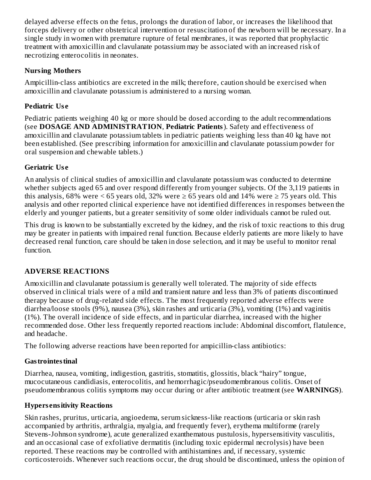delayed adverse effects on the fetus, prolongs the duration of labor, or increases the likelihood that forceps delivery or other obstetrical intervention or resuscitation of the newborn will be necessary. In a single study in women with premature rupture of fetal membranes, it was reported that prophylactic treatment with amoxicillin and clavulanate potassium may be associated with an increased risk of necrotizing enterocolitis in neonates.

# **Nursing Mothers**

Ampicillin-class antibiotics are excreted in the milk; therefore, caution should be exercised when amoxicillin and clavulanate potassium is administered to a nursing woman.

# **Pediatric Us e**

Pediatric patients weighing 40 kg or more should be dosed according to the adult recommendations (see **DOSAGE AND ADMINISTRATION**, **Pediatric Patients**). Safety and effectiveness of amoxicillin and clavulanate potassium tablets in pediatric patients weighing less than 40 kg have not been established. (See prescribing information for amoxicillin and clavulanate potassium powder for oral suspension and chewable tablets.)

# **Geriatric Us e**

An analysis of clinical studies of amoxicillin and clavulanate potassium was conducted to determine whether subjects aged 65 and over respond differently from younger subjects. Of the 3,119 patients in this analysis, 68% were  $\leq$  65 years old, 32% were  $\geq$  65 years old and 14% were  $\geq$  75 years old. This analysis and other reported clinical experience have not identified differences in responses between the elderly and younger patients, but a greater sensitivity of some older individuals cannot be ruled out.

This drug is known to be substantially excreted by the kidney, and the risk of toxic reactions to this drug may be greater in patients with impaired renal function. Because elderly patients are more likely to have decreased renal function, care should be taken in dose selection, and it may be useful to monitor renal function.

# **ADVERSE REACTIONS**

Amoxicillin and clavulanate potassium is generally well tolerated. The majority of side effects observed in clinical trials were of a mild and transient nature and less than 3% of patients discontinued therapy because of drug-related side effects. The most frequently reported adverse effects were diarrhea/loose stools (9%), nausea (3%), skin rashes and urticaria (3%), vomiting (1%) and vaginitis (1%). The overall incidence of side effects, and in particular diarrhea, increased with the higher recommended dose. Other less frequently reported reactions include: Abdominal discomfort, flatulence, and headache.

The following adverse reactions have been reported for ampicillin-class antibiotics:

# **Gastrointestinal**

Diarrhea, nausea, vomiting, indigestion, gastritis, stomatitis, glossitis, black "hairy" tongue, mucocutaneous candidiasis, enterocolitis, and hemorrhagic/pseudomembranous colitis. Onset of pseudomembranous colitis symptoms may occur during or after antibiotic treatment (see **WARNINGS**).

# **Hypers ensitivity Reactions**

Skin rashes, pruritus, urticaria, angioedema, serum sickness-like reactions (urticaria or skin rash accompanied by arthritis, arthralgia, myalgia, and frequently fever), erythema multiforme (rarely Stevens-Johnson syndrome), acute generalized exanthematous pustulosis, hypersensitivity vasculitis, and an occasional case of exfoliative dermatitis (including toxic epidermal necrolysis) have been reported. These reactions may be controlled with antihistamines and, if necessary, systemic corticosteroids. Whenever such reactions occur, the drug should be discontinued, unless the opinion of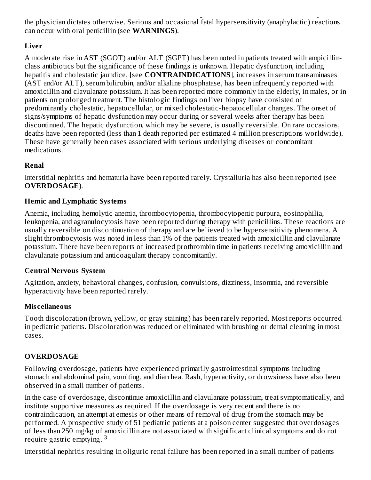corticosteroids. Whenever such reactions occur, the drug should be discontinued, unless the opinion of the physician dictates otherwise. Serious and occasional fatal hypersensitivity (anaphylactic) reactions can occur with oral penicillin (see **WARNINGS**).

# **Liver**

A moderate rise in AST (SGOT) and/or ALT (SGPT) has been noted in patients treated with ampicillinclass antibiotics but the significance of these findings is unknown. Hepatic dysfunction, including hepatitis and cholestatic jaundice, [see **CONTRAINDICATIONS**], increases in serum transaminases (AST and/or ALT), serum bilirubin, and/or alkaline phosphatase, has been infrequently reported with amoxicillin and clavulanate potassium. It has been reported more commonly in the elderly, in males, or in patients on prolonged treatment. The histologic findings on liver biopsy have consisted of predominantly cholestatic, hepatocellular, or mixed cholestatic-hepatocellular changes. The onset of signs/symptoms of hepatic dysfunction may occur during or several weeks after therapy has been discontinued. The hepatic dysfunction, which may be severe, is usually reversible. On rare occasions, deaths have been reported (less than 1 death reported per estimated 4 million prescriptions worldwide). These have generally been cases associated with serious underlying diseases or concomitant medications.

### **Renal**

Interstitial nephritis and hematuria have been reported rarely. Crystalluria has also been reported (see **OVERDOSAGE**).

### **Hemic and Lymphatic Systems**

Anemia, including hemolytic anemia, thrombocytopenia, thrombocytopenic purpura, eosinophilia, leukopenia, and agranulocytosis have been reported during therapy with penicillins. These reactions are usually reversible on discontinuation of therapy and are believed to be hypersensitivity phenomena. A slight thrombocytosis was noted in less than 1% of the patients treated with amoxicillin and clavulanate potassium. There have been reports of increased prothrombin time in patients receiving amoxicillin and clavulanate potassium and anticoagulant therapy concomitantly.

#### **Central Nervous System**

Agitation, anxiety, behavioral changes, confusion, convulsions, dizziness, insomnia, and reversible hyperactivity have been reported rarely.

#### **Mis cellaneous**

Tooth discoloration (brown, yellow, or gray staining) has been rarely reported. Most reports occurred in pediatric patients. Discoloration was reduced or eliminated with brushing or dental cleaning in most cases.

# **OVERDOSAGE**

Following overdosage, patients have experienced primarily gastrointestinal symptoms including stomach and abdominal pain, vomiting, and diarrhea. Rash, hyperactivity, or drowsiness have also been observed in a small number of patients.

In the case of overdosage, discontinue amoxicillin and clavulanate potassium, treat symptomatically, and institute supportive measures as required. If the overdosage is very recent and there is no contraindication, an attempt at emesis or other means of removal of drug from the stomach may be performed. A prospective study of 51 pediatric patients at a poison center suggested that overdosages of less than 250 mg/kg of amoxicillin are not associated with significant clinical symptoms and do not require gastric emptying.<sup>3</sup>

Interstitial nephritis resulting in oliguric renal failure has been reported in a small number of patients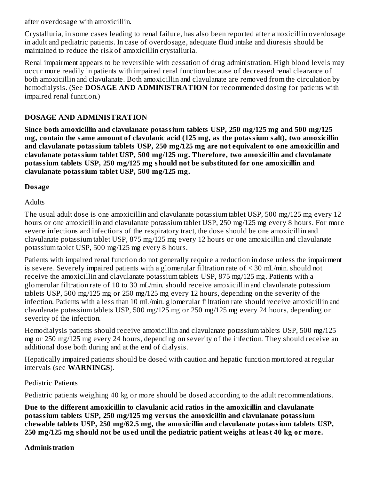after overdosage with amoxicillin.

Crystalluria, in some cases leading to renal failure, has also been reported after amoxicillin overdosage in adult and pediatric patients. In case of overdosage, adequate fluid intake and diuresis should be maintained to reduce the risk of amoxicillin crystalluria.

Renal impairment appears to be reversible with cessation of drug administration. High blood levels may occur more readily in patients with impaired renal function because of decreased renal clearance of both amoxicillin and clavulanate. Both amoxicillin and clavulanate are removed from the circulation by hemodialysis. (See **DOSAGE AND ADMINISTRATION** for recommended dosing for patients with impaired renal function.)

### **DOSAGE AND ADMINISTRATION**

**Since both amoxicillin and clavulanate potassium tablets USP, 250 mg/125 mg and 500 mg/125 mg, contain the same amount of clavulanic acid (125 mg, as the potassium salt), two amoxicillin and clavulanate potassium tablets USP, 250 mg/125 mg are not equivalent to one amoxicillin and clavulanate potassium tablet USP, 500 mg/125 mg. Therefore, two amoxicillin and clavulanate potassium tablets USP, 250 mg/125 mg should not be substituted for one amoxicillin and clavulanate potassium tablet USP, 500 mg/125 mg.**

### **Dosage**

**Adults** 

The usual adult dose is one amoxicillin and clavulanate potassium tablet USP, 500 mg/125 mg every 12 hours or one amoxicillin and clavulanate potassium tablet USP, 250 mg/125 mg every 8 hours. For more severe infections and infections of the respiratory tract, the dose should be one amoxicillin and clavulanate potassium tablet USP, 875 mg/125 mg every 12 hours or one amoxicillin and clavulanate potassium tablet USP, 500 mg/125 mg every 8 hours.

Patients with impaired renal function do not generally require a reduction in dose unless the impairment is severe. Severely impaired patients with a glomerular filtration rate of < 30 mL/min. should not receive the amoxicillin and clavulanate potassium tablets USP, 875 mg/125 mg. Patients with a glomerular filtration rate of 10 to 30 mL/min. should receive amoxicillin and clavulanate potassium tablets USP, 500 mg/125 mg or 250 mg/125 mg every 12 hours, depending on the severity of the infection. Patients with a less than 10 mL/min. glomerular filtration rate should receive amoxicillin and clavulanate potassium tablets USP, 500 mg/125 mg or 250 mg/125 mg every 24 hours, depending on severity of the infection.

Hemodialysis patients should receive amoxicillin and clavulanate potassium tablets USP, 500 mg/125 mg or 250 mg/125 mg every 24 hours, depending on severity of the infection. They should receive an additional dose both during and at the end of dialysis.

Hepatically impaired patients should be dosed with caution and hepatic function monitored at regular intervals (see **WARNINGS**).

#### Pediatric Patients

Pediatric patients weighing 40 kg or more should be dosed according to the adult recommendations.

**Due to the different amoxicillin to clavulanic acid ratios in the amoxicillin and clavulanate potassium tablets USP, 250 mg/125 mg versus the amoxicillin and clavulanate potassium chewable tablets USP, 250 mg/62.5 mg, the amoxicillin and clavulanate potassium tablets USP,** 250 mg/125 mg should not be used until the pediatric patient weighs at least 40 kg or more.

#### **Administration**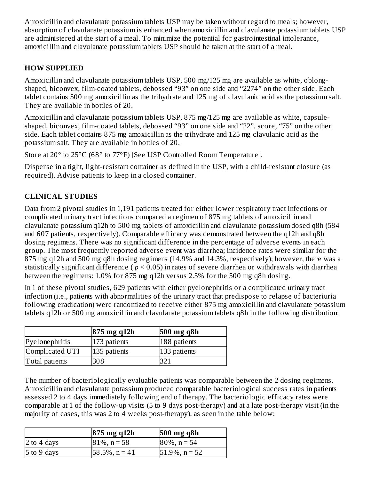Amoxicillin and clavulanate potassium tablets USP may be taken without regard to meals; however, absorption of clavulanate potassium is enhanced when amoxicillin and clavulanate potassium tablets USP are administered at the start of a meal. To minimize the potential for gastrointestinal intolerance, amoxicillin and clavulanate potassium tablets USP should be taken at the start of a meal.

# **HOW SUPPLIED**

Amoxicillin and clavulanate potassium tablets USP, 500 mg/125 mg are available as white, oblongshaped, biconvex, film-coated tablets, debossed "93" on one side and "2274" on the other side. Each tablet contains 500 mg amoxicillin as the trihydrate and 125 mg of clavulanic acid as the potassium salt. They are available in bottles of 20.

Amoxicillin and clavulanate potassium tablets USP, 875 mg/125 mg are available as white, capsuleshaped, biconvex, film-coated tablets, debossed "93" on one side and "22", score, "75" on the other side. Each tablet contains 875 mg amoxicillin as the trihydrate and 125 mg clavulanic acid as the potassium salt. They are available in bottles of 20.

Store at 20° to 25°C (68° to 77°F) [See USP Controlled Room Temperature].

Dispense in a tight, light-resistant container as defined in the USP, with a child-resistant closure (as required). Advise patients to keep in a closed container.

# **CLINICAL STUDIES**

Data from 2 pivotal studies in 1,191 patients treated for either lower respiratory tract infections or complicated urinary tract infections compared a regimen of 875 mg tablets of amoxicillin and clavulanate potassium q12h to 500 mg tablets of amoxicillin and clavulanate potassium dosed q8h (584 and 607 patients, respectively). Comparable efficacy was demonstrated between the q12h and q8h dosing regimens. There was no significant difference in the percentage of adverse events in each group. The most frequently reported adverse event was diarrhea; incidence rates were similar for the 875 mg q12h and 500 mg q8h dosing regimens (14.9% and 14.3%, respectively); however, there was a statistically significant difference ( *p* < 0.05) in rates of severe diarrhea or withdrawals with diarrhea between the regimens: 1.0% for 875 mg q12h versus 2.5% for the 500 mg q8h dosing.

In 1 of these pivotal studies, 629 patients with either pyelonephritis or a complicated urinary tract infection (i.e., patients with abnormalities of the urinary tract that predispose to relapse of bacteriuria following eradication) were randomized to receive either 875 mg amoxicillin and clavulanate potassium tablets q12h or 500 mg amoxicillin and clavulanate potassium tablets q8h in the following distribution:

|                 | $875$ mg q $12h$ | $500$ mg q8h |
|-----------------|------------------|--------------|
| Pyelonephritis  | 173 patients     | 188 patients |
| Complicated UTI | 135 patients     | 133 patients |
| Total patients  | 308              |              |

The number of bacteriologically evaluable patients was comparable between the 2 dosing regimens. Amoxicillin and clavulanate potassium produced comparable bacteriological success rates in patients assessed 2 to 4 days immediately following end of therapy. The bacteriologic efficacy rates were comparable at 1 of the follow-up visits (5 to 9 days post-therapy) and at a late post-therapy visit (in the majority of cases, this was 2 to 4 weeks post-therapy), as seen in the table below:

|               | $875$ mg q12h     | $500$ mg q8h      |
|---------------|-------------------|-------------------|
| 2 to 4 days   | $81\%$ , n = 58   | $80\%$ , n = 54   |
| $5$ to 9 days | $58.5\%$ , n = 41 | $51.9\%$ , n = 52 |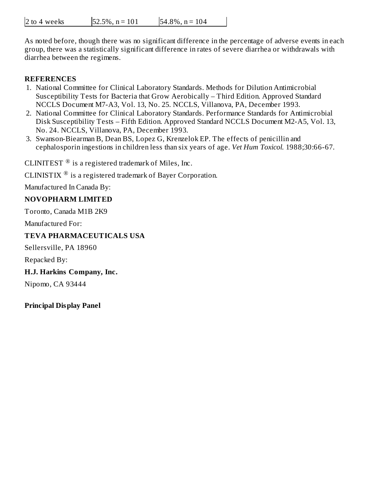| 2 to 4 weeks | $52.5\%, n = 101$ | $54.8\%$ , n = 104 |
|--------------|-------------------|--------------------|
|--------------|-------------------|--------------------|

As noted before, though there was no significant difference in the percentage of adverse events in each group, there was a statistically significant difference in rates of severe diarrhea or withdrawals with diarrhea between the regimens.

#### **REFERENCES**

- 1. National Committee for Clinical Laboratory Standards. Methods for Dilution Antimicrobial Susceptibility Tests for Bacteria that Grow Aerobically – Third Edition. Approved Standard NCCLS Document M7-A3, Vol. 13, No. 25. NCCLS, Villanova, PA, December 1993.
- 2. National Committee for Clinical Laboratory Standards. Performance Standards for Antimicrobial Disk Susceptibility Tests – Fifth Edition. Approved Standard NCCLS Document M2-A5, Vol. 13, No. 24. NCCLS, Villanova, PA, December 1993.
- 3. Swanson-Biearman B, Dean BS, Lopez G, Krenzelok EP. The effects of penicillin and cephalosporin ingestions in children less than six years of age. *Vet Hum Toxicol.* 1988;30:66-67.

CLINITEST  $^{\circledR}$  is a registered trademark of Miles, Inc.

CLINISTIX  $^{\circledR}$  is a registered trademark of Bayer Corporation.

Manufactured In Canada By:

#### **NOVOPHARM LIMITED**

Toronto, Canada M1B 2K9

Manufactured For:

#### **TEVA PHARMACEUTICALS USA**

Sellersville, PA 18960

Repacked By:

#### **H.J. Harkins Company, Inc.**

Nipomo, CA 93444

**Principal Display Panel**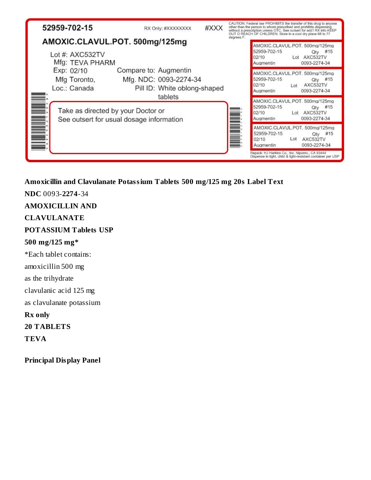| 52959-702-15                                                           | RX Only: #XXXXXXXX                                                              | #XXX |            | CAUTION: Federal law PROHIBITS the transfer of this drug to anyone<br>other than the person to whom prescribed and prohibits dispensing<br>without a prescription unless OTC. See outset for add TRX info KEEP<br>OUT O REACH OF CHILDREN. Store in a cool dry place 68 to 77 |
|------------------------------------------------------------------------|---------------------------------------------------------------------------------|------|------------|-------------------------------------------------------------------------------------------------------------------------------------------------------------------------------------------------------------------------------------------------------------------------------|
| AMOXIC.CLAVUL.POT. 500mg/125mg<br>Lot #: $AXC532TV$<br>Mfg: TEVA PHARM |                                                                                 |      | degrees F. | AMOXIC.CLAVUL.POT. 500mg/125mg<br>52959-702-15<br>#15<br>Qtv<br>02/10<br>Lot AXC532TV<br>0093-2274-34<br>Augmentin                                                                                                                                                            |
| Exp: 02/10<br>Mfg Toronto,<br>Loc.: Canada                             | Compare to: Augmentin<br>Mfg. NDC: 0093-2274-34<br>Pill ID: White oblong-shaped |      |            | AMOXIC.CLAVUL.POT. 500mg/125mg<br>52959-702-15<br>#15<br>Qty<br>02/10<br>AXC532TV<br>Let<br>0093-2274-34<br>Augmentin                                                                                                                                                         |
| Take as directed by your Doctor or                                     | tablets<br>See outsert for usual dosage information                             |      |            | AMOXIC.CLAVUL.POT. 500mg/125mg<br>52959-702-15<br>#15<br>Qty<br>02/10<br>Lot AXC532TV<br>0093-2274-34<br>Augmentin                                                                                                                                                            |
|                                                                        |                                                                                 |      |            | AMOXIC.CLAVUL.POT. 500mg/125mg<br>52959-702-15<br>#15<br>Qty<br>Lot<br>AXC532TV<br>02/10<br>0093-2274-34<br>Augmentin                                                                                                                                                         |
|                                                                        |                                                                                 |      |            | Repack: HJ Harkins Co., Inc. Nipomo., CA 93444<br>Dispense in tight, child & light-resistant container per USP                                                                                                                                                                |

**Amoxicillin and Clavulanate Potassium Tablets 500 mg/125 mg 20s Label Text**

**NDC** 0093-**2274**-34 **AMOXICILLIN AND CLAVULANATE POTASSIUM Tablets USP 500 mg/125 mg\*** \*Each tablet contains: amoxicillin 500 mg as the trihydrate clavulanic acid 125 mg as clavulanate potassium **Rx only 20 TABLETS TEVA**

**Principal Display Panel**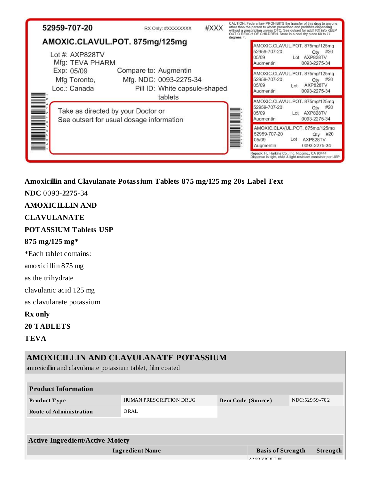| 52959-707-20                                                         | RX Only: #XXXXXXXX                                                               | #XXX |            | CAUTION: Federal law PROHIBITS the transfer of this drug to anyone.<br>other than the person to whom prescribed and prohibits dispensing<br>without a prescription unless OTC. See outsert for add I RX info KEEP<br>OUT O REACH OF CHILDREN. Store in a cool dry place 68 to 77 |
|----------------------------------------------------------------------|----------------------------------------------------------------------------------|------|------------|----------------------------------------------------------------------------------------------------------------------------------------------------------------------------------------------------------------------------------------------------------------------------------|
| AMOXIC.CLAVUL.POT. 875mg/125mg<br>Lot #: AXP828TV<br>Mfg: TEVA PHARM |                                                                                  |      | degrees F. | AMOXIC.CLAVUL.POT. 875mg/125mg<br>52959-707-20<br>#20<br>Qtv<br>05/09<br>Lot AXP828TV<br>0093-2275-34<br>Augmentin                                                                                                                                                               |
| Exp: 05/09<br>Mfg Toronto,<br>Loc.: Canada                           | Compare to: Augmentin<br>Mfg. NDC: 0093-2275-34<br>Pill ID: White capsule-shaped |      |            | AMOXIC.CLAVUL.POT. 875mg/125mg<br>52959-707-20<br>#20<br>Qtv<br>05/09<br>AXP828TV<br>$1$ ot<br>0093-2275-34<br>Augmentin                                                                                                                                                         |
| Take as directed by your Doctor or                                   | tablets<br>See outsert for usual dosage information                              |      |            | AMOXIC.CLAVUL.POT. 875mg/125mg<br>52959-707-20<br>#20<br>Qtv<br>05/09<br>Lot AXP828TV<br>0093-2275-34<br>Augmentin                                                                                                                                                               |
|                                                                      |                                                                                  |      |            | AMOXIC.CLAVUL.POT. 875mg/125mg<br>52959-707-20<br>#20<br>Qtv<br>Lot<br>05/09<br>AXP828TV<br>0093-2275-34<br>Augmentin                                                                                                                                                            |
|                                                                      |                                                                                  |      |            | Repack: HJ Harkins Co., Inc. Nipomo., CA 93444<br>Dispense in tight, child & light-resistant container per USP                                                                                                                                                                   |

**Amoxicillin and Clavulanate Potassium Tablets 875 mg/125 mg 20s Label Text**

**NDC** 0093-**2275**-34

**AMOXICILLIN AND**

**CLAVULANATE**

**POTASSIUM Tablets USP**

# **875 mg/125 mg\***

\*Each tablet contains:

amoxicillin 875 mg

as the trihydrate

clavulanic acid 125 mg

as clavulanate potassium

**Rx only**

**20 TABLETS**

**TEVA**

| AMOXICILLIN AND CLAVULANATE POTASSIUM<br>amoxicillin and clavulanate potassium tablet, film coated |                         |                    |                                             |               |          |
|----------------------------------------------------------------------------------------------------|-------------------------|--------------------|---------------------------------------------|---------------|----------|
|                                                                                                    |                         |                    |                                             |               |          |
| <b>Product Information</b>                                                                         |                         |                    |                                             |               |          |
| <b>Product Type</b>                                                                                | HUMAN PRESCRIPTION DRUG | Item Code (Source) |                                             | NDC:52959-702 |          |
| <b>Route of Administration</b>                                                                     | ORAL                    |                    |                                             |               |          |
|                                                                                                    |                         |                    |                                             |               |          |
|                                                                                                    |                         |                    |                                             |               |          |
| <b>Active Ingredient/Active Moiety</b>                                                             |                         |                    |                                             |               |          |
|                                                                                                    | <b>Ingredient Name</b>  |                    | <b>Basis of Strength</b><br>A MO VICIT I IN |               | Strength |
|                                                                                                    |                         |                    |                                             |               |          |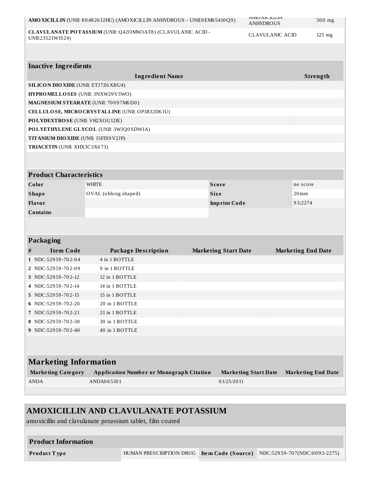|                                                                                  | AMO XICILLIN (UNII: 804826J2HU) (AMO XICILLIN ANHYDROUS - UNII: 9 EM0 5410 Q9) |             |                             | <b>AIVIU AIU ILLIIV</b><br><b>ANHYDROUS</b> | $500$ mg                  |
|----------------------------------------------------------------------------------|--------------------------------------------------------------------------------|-------------|-----------------------------|---------------------------------------------|---------------------------|
| CLAVULANATE POTASSIUM (UNII: Q420 MW3AT8) (CLAVULANIC ACID -<br>UNII:23521W1S24) |                                                                                |             |                             | <b>CLAVULANIC ACID</b><br>125 mg            |                           |
| <b>Inactive Ingredients</b>                                                      |                                                                                |             |                             |                                             |                           |
|                                                                                  | <b>Ingredient Name</b>                                                         |             |                             |                                             | Strength                  |
| <b>SILICON DIO XIDE (UNII: ETJ7Z6 XBU4)</b>                                      |                                                                                |             |                             |                                             |                           |
| HYPROMELLOSES (UNII: 3NXW29V3WO)                                                 |                                                                                |             |                             |                                             |                           |
| MAGNESIUM STEARATE (UNII: 70097M6I30)                                            |                                                                                |             |                             |                                             |                           |
|                                                                                  | CELLULOSE, MICRO CRYSTALLINE (UNII: OP1R32D61U)                                |             |                             |                                             |                           |
| POLYDEXTROSE (UNII: VH2XOU12IE)                                                  |                                                                                |             |                             |                                             |                           |
|                                                                                  | POLYETHYLENE GLYCOL (UNII: 3WJQ0SDW1A)                                         |             |                             |                                             |                           |
| <b>TITANIUM DIO XIDE (UNII: 15FIX9 V2JP)</b>                                     |                                                                                |             |                             |                                             |                           |
| TRIACETIN (UNII: XHX3C3X673)                                                     |                                                                                |             |                             |                                             |                           |
|                                                                                  |                                                                                |             |                             |                                             |                           |
| <b>Product Characteristics</b>                                                   |                                                                                |             |                             |                                             |                           |
| Color                                                                            | <b>WHITE</b>                                                                   |             | <b>Score</b>                |                                             | no score                  |
| <b>Shape</b>                                                                     | OVAL (oblong shaped)                                                           | <b>Size</b> |                             |                                             | $20$ mm                   |
| Flavor                                                                           |                                                                                |             | <b>Imprint Code</b>         |                                             | 93;2274                   |
| <b>Contains</b>                                                                  |                                                                                |             |                             |                                             |                           |
|                                                                                  |                                                                                |             |                             |                                             |                           |
| Packaging                                                                        |                                                                                |             |                             |                                             |                           |
| <b>Item Code</b><br>#                                                            | <b>Package Description</b>                                                     |             | <b>Marketing Start Date</b> |                                             | <b>Marketing End Date</b> |
| 1 NDC:52959-702-04                                                               | 4 in 1 BOTTLE                                                                  |             |                             |                                             |                           |
| 2 NDC:52959-702-09                                                               | 9 in 1 BOTTLE                                                                  |             |                             |                                             |                           |
| 3 NDC:52959-702-12                                                               | 12 in 1 BOTTLE                                                                 |             |                             |                                             |                           |
| 4 NDC:52959-702-14                                                               | 14 in 1 BOTTLE                                                                 |             |                             |                                             |                           |
| 5 NDC:52959-702-15                                                               | 15 in 1 BOTTLE                                                                 |             |                             |                                             |                           |
| 6 NDC:52959-702-20                                                               | 20 in 1 BOTTLE                                                                 |             |                             |                                             |                           |
| 7 NDC:52959-702-21                                                               | 21 in 1 BOTTLE                                                                 |             |                             |                                             |                           |
| 8 NDC:52959-702-30                                                               | 30 in 1 BOTTLE                                                                 |             |                             |                                             |                           |
| $9$ NDC:52959-702-40                                                             | 40 in 1 BOTTLE                                                                 |             |                             |                                             |                           |
|                                                                                  |                                                                                |             |                             |                                             |                           |
| <b>Marketing Information</b>                                                     |                                                                                |             |                             |                                             |                           |
| <b>Marketing Category</b>                                                        | <b>Application Number or Monograph Citation</b>                                |             | <b>Marketing Start Date</b> |                                             | <b>Marketing End Date</b> |
| <b>ANDA</b>                                                                      | ANDA065101                                                                     |             | 01/25/2011                  |                                             |                           |
|                                                                                  |                                                                                |             |                             |                                             |                           |

# **AMOXICILLIN AND CLAVULANATE POTASSIUM**

amoxicillin and clavulanate potassium tablet, film coated

| <b>Product Information</b> |                         |                                                        |
|----------------------------|-------------------------|--------------------------------------------------------|
| Product Type               | HUMAN PRESCRIPTION DRUG | <b>Item Code (Source)</b> NDC:52959-707(NDC:0093-2275) |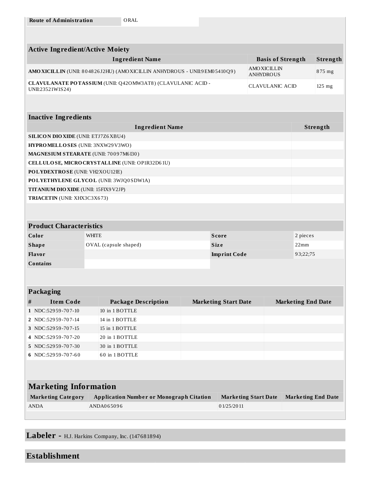| <b>Active Ingredient/Active Moiety</b>                                     |                                                              |  |                             |                                        |                           |                           |  |
|----------------------------------------------------------------------------|--------------------------------------------------------------|--|-----------------------------|----------------------------------------|---------------------------|---------------------------|--|
|                                                                            | <b>Ingredient Name</b>                                       |  |                             | <b>Basis of Strength</b>               |                           | Strength                  |  |
| AMO XICILLIN (UNII: 804826J2HU) (AMO XICILLIN ANHYDROUS - UNII:9EM05410Q9) |                                                              |  |                             | <b>AMOXICILLIN</b><br><b>ANHYDROUS</b> | 875 mg                    |                           |  |
| UNII:23521W1S24)                                                           | CLAVULANATE POTASSIUM (UNII: Q420 MW3AT8) (CLAVULANIC ACID - |  |                             | <b>CLAVULANIC ACID</b>                 |                           | $125$ mg                  |  |
|                                                                            |                                                              |  |                             |                                        |                           |                           |  |
| <b>Inactive Ingredients</b>                                                |                                                              |  |                             |                                        |                           |                           |  |
|                                                                            | <b>Ingredient Name</b>                                       |  |                             |                                        |                           | Strength                  |  |
| <b>SILICON DIO XIDE (UNII: ETJ7Z6 XBU4)</b>                                |                                                              |  |                             |                                        |                           |                           |  |
| HYPROMELLOSES (UNII: 3NXW29V3WO)                                           |                                                              |  |                             |                                        |                           |                           |  |
| MAGNESIUM STEARATE (UNII: 70097M6I30)                                      |                                                              |  |                             |                                        |                           |                           |  |
|                                                                            | CELLULOSE, MICRO CRYSTALLINE (UNII: OP1R32D61U)              |  |                             |                                        |                           |                           |  |
| POLYDEXTROSE (UNII: VH2XOU12IE)                                            |                                                              |  |                             |                                        |                           |                           |  |
|                                                                            | POLYETHYLENE GLYCOL (UNII: 3WJQ0SDW1A)                       |  |                             |                                        |                           |                           |  |
| TITANIUM DIO XIDE (UNII: 15FIX9V2JP)                                       |                                                              |  |                             |                                        |                           |                           |  |
| TRIACETIN (UNII: XHX3C3X673)                                               |                                                              |  |                             |                                        |                           |                           |  |
|                                                                            |                                                              |  |                             |                                        |                           |                           |  |
| <b>Product Characteristics</b>                                             |                                                              |  |                             |                                        |                           |                           |  |
| Color                                                                      | <b>WHITE</b>                                                 |  | <b>Score</b>                |                                        | 2 pieces                  |                           |  |
| <b>Shape</b>                                                               | OVAL (capsule shaped)                                        |  | <b>Size</b>                 |                                        | 22mm                      |                           |  |
| Flavor                                                                     |                                                              |  | <b>Imprint Code</b>         |                                        | 93;22;75                  |                           |  |
| <b>Contains</b>                                                            |                                                              |  |                             |                                        |                           |                           |  |
|                                                                            |                                                              |  |                             |                                        |                           |                           |  |
| <b>Packaging</b>                                                           |                                                              |  |                             |                                        |                           |                           |  |
|                                                                            |                                                              |  |                             |                                        |                           |                           |  |
| <b>Item Code</b><br>#                                                      | <b>Package Description</b>                                   |  | <b>Marketing Start Date</b> |                                        | <b>Marketing End Date</b> |                           |  |
| 1 NDC:52959-707-10                                                         | 10 in 1 BOTTLE                                               |  |                             |                                        |                           |                           |  |
| 2 NDC:52959-707-14                                                         | 14 in 1 BOTTLE                                               |  |                             |                                        |                           |                           |  |
| 3 NDC:52959-707-15                                                         | 15 in 1 BOTTLE                                               |  |                             |                                        |                           |                           |  |
| 4 NDC:52959-707-20                                                         | 20 in 1 BOTTLE                                               |  |                             |                                        |                           |                           |  |
| 5 NDC:52959-707-30                                                         | 30 in 1 BOTTLE                                               |  |                             |                                        |                           |                           |  |
| 6 NDC:52959-707-60                                                         | 60 in 1 BOTTLE                                               |  |                             |                                        |                           |                           |  |
|                                                                            |                                                              |  |                             |                                        |                           |                           |  |
| <b>Marketing Information</b>                                               |                                                              |  |                             |                                        |                           |                           |  |
| <b>Marketing Category</b>                                                  | <b>Application Number or Monograph Citation</b>              |  |                             | <b>Marketing Start Date</b>            |                           | <b>Marketing End Date</b> |  |
| ANDA                                                                       | ANDA065096                                                   |  | 01/25/2011                  |                                        |                           |                           |  |
|                                                                            |                                                              |  |                             |                                        |                           |                           |  |
|                                                                            |                                                              |  |                             |                                        |                           |                           |  |

**Labeler -** H.J. Harkins Company, Inc. (147681894)

# **Establishment**